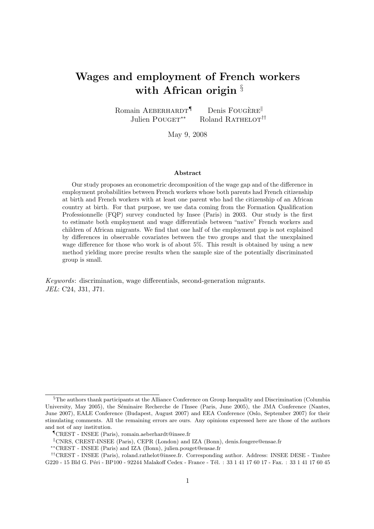# Wages and employment of French workers with African origin  $\S$

Romain AEBERHARDT<sup>¶</sup> Denis FOUGERE Julien POUGET<sup>\*\*</sup> Roland RATHELOT<sup>††</sup>

May 9, 2008

#### Abstract

Our study proposes an econometric decomposition of the wage gap and of the difference in employment probabilities between French workers whose both parents had French citizenship at birth and French workers with at least one parent who had the citizenship of an African country at birth. For that purpose, we use data coming from the Formation Qualification Professionnelle (FQP) survey conducted by Insee (Paris) in 2003. Our study is the first to estimate both employment and wage differentials between "native" French workers and children of African migrants. We find that one half of the employment gap is not explained by differences in observable covariates between the two groups and that the unexplained wage difference for those who work is of about 5%. This result is obtained by using a new method yielding more precise results when the sample size of the potentially discriminated group is small.

Keywords: discrimination, wage differentials, second-generation migrants. JEL: C24, J31, J71.

<sup>§</sup>The authors thank participants at the Alliance Conference on Group Inequality and Discrimination (Columbia University, May 2005), the Séminaire Recherche de l'Insee (Paris, June 2005), the JMA Conference (Nantes, June 2007), EALE Conference (Budapest, August 2007) and EEA Conference (Oslo, September 2007) for their stimulating comments. All the remaining errors are ours. Any opinions expressed here are those of the authors and not of any institution.

<sup>¶</sup>CREST - INSEE (Paris), romain.aeberhardt@insee.fr

 $\textdegree$  CNRS, CREST-INSEE (Paris), CEPR (London) and IZA (Bonn), denis.fougere@ensae.fr

<sup>∗∗</sup>CREST - INSEE (Paris) and IZA (Bonn), julien.pouget@ensae.fr

<sup>††</sup>CREST - INSEE (Paris), roland.rathelot@insee.fr. Corresponding author. Address: INSEE DESE - Timbre G220 - 15 Bld G. Péri - BP100 - 92244 Malakoff Cedex - France - Tél. : 33 1 41 17 60 17 - Fax. : 33 1 41 17 60 45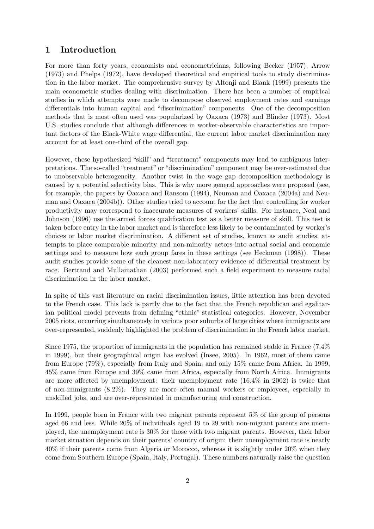# 1 Introduction

For more than forty years, economists and econometricians, following Becker (1957), Arrow (1973) and Phelps (1972), have developed theoretical and empirical tools to study discrimination in the labor market. The comprehensive survey by Altonji and Blank (1999) presents the main econometric studies dealing with discrimination. There has been a number of empirical studies in which attempts were made to decompose observed employment rates and earnings differentials into human capital and "discrimination" components. One of the decomposition methods that is most often used was popularized by Oaxaca (1973) and Blinder (1973). Most U.S. studies conclude that although differences in worker-observable characteristics are important factors of the Black-White wage differential, the current labor market discrimination may account for at least one-third of the overall gap.

However, these hypothesized "skill" and "treatment" components may lead to ambiguous interpretations. The so-called "treatment" or "discrimination" component may be over-estimated due to unobservable heterogeneity. Another twist in the wage gap decomposition methodology is caused by a potential selectivity bias. This is why more general approaches were proposed (see, for example, the papers by Oaxaca and Ransom (1994), Neuman and Oaxaca (2004a) and Neuman and Oaxaca (2004b)). Other studies tried to account for the fact that controlling for worker productivity may correspond to inaccurate measures of workers' skills. For instance, Neal and Johnson (1996) use the armed forces qualification test as a better measure of skill. This test is taken before entry in the labor market and is therefore less likely to be contaminated by worker's choices or labor market discrimination. A different set of studies, known as audit studies, attempts to place comparable minority and non-minority actors into actual social and economic settings and to measure how each group fares in these settings (see Heckman (1998)). These audit studies provide some of the cleanest non-laboratory evidence of differential treatment by race. Bertrand and Mullainathan (2003) performed such a field experiment to measure racial discrimination in the labor market.

In spite of this vast literature on racial discrimination issues, little attention has been devoted to the French case. This lack is partly due to the fact that the French republican and egalitarian political model prevents from defining "ethnic" statistical categories. However, November 2005 riots, occurring simultaneously in various poor suburbs of large cities where immigrants are over-represented, suddenly highlighted the problem of discrimination in the French labor market.

Since 1975, the proportion of immigrants in the population has remained stable in France (7.4% in 1999), but their geographical origin has evolved (Insee, 2005). In 1962, most of them came from Europe (79%), especially from Italy and Spain, and only 15% came from Africa. In 1999, 45% came from Europe and 39% came from Africa, especially from North Africa. Immigrants are more affected by unemployment: their unemployment rate (16.4% in 2002) is twice that of non-immigrants (8.2%). They are more often manual workers or employees, especially in unskilled jobs, and are over-represented in manufacturing and construction.

In 1999, people born in France with two migrant parents represent 5% of the group of persons aged 66 and less. While 20% of individuals aged 19 to 29 with non-migrant parents are unemployed, the unemployment rate is 30% for those with two migrant parents. However, their labor market situation depends on their parents' country of origin: their unemployment rate is nearly 40% if their parents come from Algeria or Morocco, whereas it is slightly under 20% when they come from Southern Europe (Spain, Italy, Portugal). These numbers naturally raise the question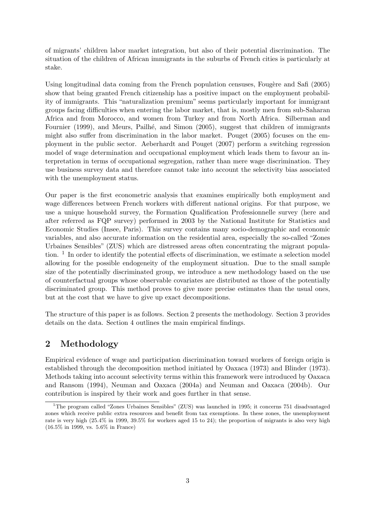of migrants' children labor market integration, but also of their potential discrimination. The situation of the children of African immigrants in the suburbs of French cities is particularly at stake.

Using longitudinal data coming from the French population censuses, Fougère and Safi (2005) show that being granted French citizenship has a positive impact on the employment probability of immigrants. This "naturalization premium" seems particularly important for immigrant groups facing difficulties when entering the labor market, that is, mostly men from sub-Saharan Africa and from Morocco, and women from Turkey and from North Africa. Silberman and Fournier (1999), and Meurs, Pailhé, and Simon (2005), suggest that children of immigrants might also suffer from discrimination in the labor market. Pouget (2005) focuses on the employment in the public sector. Aeberhardt and Pouget (2007) perform a switching regression model of wage determination and occupational employment which leads them to favour an interpretation in terms of occupational segregation, rather than mere wage discrimination. They use business survey data and therefore cannot take into account the selectivity bias associated with the unemployment status.

Our paper is the first econometric analysis that examines empirically both employment and wage differences between French workers with different national origins. For that purpose, we use a unique household survey, the Formation Qualification Professionnelle survey (here and after referred as FQP survey) performed in 2003 by the National Institute for Statistics and Economic Studies (Insee, Paris). This survey contains many socio-demographic and economic variables, and also accurate information on the residential area, especially the so-called "Zones Urbaines Sensibles" (ZUS) which are distressed areas often concentrating the migrant population.<sup>1</sup> In order to identify the potential effects of discrimination, we estimate a selection model allowing for the possible endogeneity of the employment situation. Due to the small sample size of the potentially discriminated group, we introduce a new methodology based on the use of counterfactual groups whose observable covariates are distributed as those of the potentially discriminated group. This method proves to give more precise estimates than the usual ones, but at the cost that we have to give up exact decompositions.

The structure of this paper is as follows. Section 2 presents the methodology. Section 3 provides details on the data. Section 4 outlines the main empirical findings.

# 2 Methodology

Empirical evidence of wage and participation discrimination toward workers of foreign origin is established through the decomposition method initiated by Oaxaca (1973) and Blinder (1973). Methods taking into account selectivity terms within this framework were introduced by Oaxaca and Ransom (1994), Neuman and Oaxaca (2004a) and Neuman and Oaxaca (2004b). Our contribution is inspired by their work and goes further in that sense.

<sup>1</sup>The program called "Zones Urbaines Sensibles" (ZUS) was launched in 1995; it concerns 751 disadvantaged zones which receive public extra resources and benefit from tax exemptions. In these zones, the unemployment rate is very high (25.4% in 1999, 39.5% for workers aged 15 to 24); the proportion of migrants is also very high (16.5% in 1999, vs. 5.6% in France)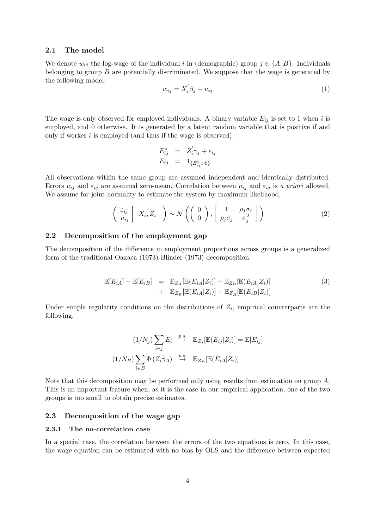### 2.1 The model

We denote  $w_{ij}$  the log-wage of the individual i in (demographic) group  $j \in \{A, B\}$ . Individuals belonging to group  $B$  are potentially discriminated. We suppose that the wage is generated by the following model:

$$
w_{ij} = X_i' \beta_j + u_{ij} \tag{1}
$$

The wage is only observed for employed individuals. A binary variable  $E_{ij}$  is set to 1 when i is employed, and 0 otherwise. It is generated by a latent random variable that is positive if and only if worker i is employed (and thus if the wage is observed).

$$
E_{ij}^* = Z'_i \gamma_j + \varepsilon_{ij}
$$
  

$$
E_{ij} = 1_{\{E_{ij}^* > 0\}}
$$

All observations within the same group are assumed independent and identically distributed. Errors  $u_{ij}$  and  $\varepsilon_{ij}$  are assumed zero-mean. Correlation between  $u_{ij}$  and  $\varepsilon_{ij}$  is a priori allowed. We assume for joint normality to estimate the system by maximum likelihood.

$$
\begin{pmatrix} \varepsilon_{ij} \\ u_{ij} \end{pmatrix} X_i, Z_i \quad \bigg) \sim \mathcal{N} \left( \begin{pmatrix} 0 \\ 0 \end{pmatrix}, \begin{bmatrix} 1 & \rho_j \sigma_j \\ \rho_j \sigma_j & \sigma_j^2 \end{bmatrix} \right)
$$
 (2)

#### 2.2 Decomposition of the employment gap

The decomposition of the difference in employment proportions across groups is a generalized form of the traditional Oaxaca (1973)-Blinder (1973) decomposition:

$$
\mathbb{E}[E_{iA}] - \mathbb{E}[E_{iB}] = \mathbb{E}_{Z_A}[\mathbb{E}(E_{iA}|Z_i)] - \mathbb{E}_{Z_B}[\mathbb{E}(E_{iA}|Z_i)]
$$
  
+ 
$$
\mathbb{E}_{Z_B}[\mathbb{E}(E_{iA}|Z_i)] - \mathbb{E}_{Z_B}[\mathbb{E}(E_{iB}|Z_i)]
$$
 (3)

Under simple regularity conditions on the distributions of  $Z_i$ , empirical counterparts are the following.

$$
(1/N_j) \sum_{i \in j} E_i \stackrel{p.s.}{\to} \mathbb{E}_{Z_j}[\mathbb{E}(E_{ij}|Z_i)] = \mathbb{E}[E_{ij}]
$$

$$
(1/N_B) \sum_{i \in B} \Phi(Z_i \hat{\gamma}_A) \stackrel{p.s.}{\to} \mathbb{E}_{Z_B}[\mathbb{E}(E_{iA}|Z_i)]
$$

Note that this decomposition may be performed only using results from estimation on group A. This is an important feature when, as it is the case in our empirical application, one of the two groups is too small to obtain precise estimates.

### 2.3 Decomposition of the wage gap

### 2.3.1 The no-correlation case

In a special case, the correlation between the errors of the two equations is zero. In this case, the wage equation can be estimated with no bias by OLS and the difference between expected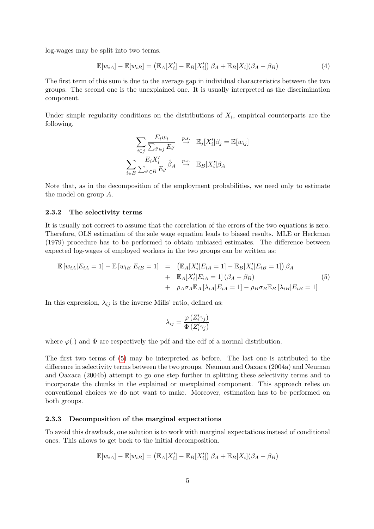log-wages may be split into two terms.

$$
\mathbb{E}[w_{iA}] - \mathbb{E}[w_{iB}] = (\mathbb{E}_A[X_i'] - \mathbb{E}_B[X_i'])\beta_A + \mathbb{E}_B[X_i](\beta_A - \beta_B)
$$
\n(4)

The first term of this sum is due to the average gap in individual characteristics between the two groups. The second one is the unexplained one. It is usually interpreted as the discrimination component.

Under simple regularity conditions on the distributions of  $X_i$ , empirical counterparts are the following.

$$
\sum_{i \in j} \frac{E_i w_i}{\sum_{i' \in j} E_{i'}} \stackrel{p.s.}{\to} \mathbb{E}_j[X'_i] \beta_j = \mathbb{E}[w_{ij}]
$$
  

$$
\sum_{i \in B} \frac{E_i X'_i}{\sum_{i' \in B} E_{i'}} \hat{\beta}_A \stackrel{p.s.}{\to} \mathbb{E}_B[X'_i] \beta_A
$$

Note that, as in the decomposition of the employment probabilities, we need only to estimate the model on group A.

#### 2.3.2 The selectivity terms

It is usually not correct to assume that the correlation of the errors of the two equations is zero. Therefore, OLS estimation of the sole wage equation leads to biased results. MLE or Heckman (1979) procedure has to be performed to obtain unbiased estimates. The difference between expected log-wages of employed workers in the two groups can be written as:

<span id="page-4-0"></span>
$$
\mathbb{E}\left[w_{iA}|E_{iA}=1\right]-\mathbb{E}\left[w_{iB}|E_{iB}=1\right] = \left(\mathbb{E}_{A}[X'_{i}|E_{iA}=1]-\mathbb{E}_{B}[X'_{i}|E_{iB}=1]\right)\beta_{A} \n+ \mathbb{E}_{A}[X'_{i}|E_{iA}=1](\beta_{A}-\beta_{B}) \n+ \rho_{A}\sigma_{A}\mathbb{E}_{A}[\lambda_{iA}|E_{iA}=1]-\rho_{B}\sigma_{B}\mathbb{E}_{B}[\lambda_{iB}|E_{iB}=1]
$$
\n(5)

In this expression,  $\lambda_{ij}$  is the inverse Mills' ratio, defined as:

$$
\lambda_{ij} = \frac{\varphi(Z'_i \gamma_j)}{\Phi(Z'_i \gamma_j)}
$$

where  $\varphi(.)$  and  $\Phi$  are respectively the pdf and the cdf of a normal distribution.

The first two terms of [\(5\)](#page-4-0) may be interpreted as before. The last one is attributed to the difference in selectivity terms between the two groups. Neuman and Oaxaca (2004a) and Neuman and Oaxaca (2004b) attempt to go one step further in splitting these selectivity terms and to incorporate the chunks in the explained or unexplained component. This approach relies on conventional choices we do not want to make. Moreover, estimation has to be performed on both groups.

#### 2.3.3 Decomposition of the marginal expectations

To avoid this drawback, one solution is to work with marginal expectations instead of conditional ones. This allows to get back to the initial decomposition.

$$
\mathbb{E}[w_{iA}] - \mathbb{E}[w_{iB}] = (\mathbb{E}_A[X_i'] - \mathbb{E}_B[X_i'])\beta_A + \mathbb{E}_B[X_i](\beta_A - \beta_B)
$$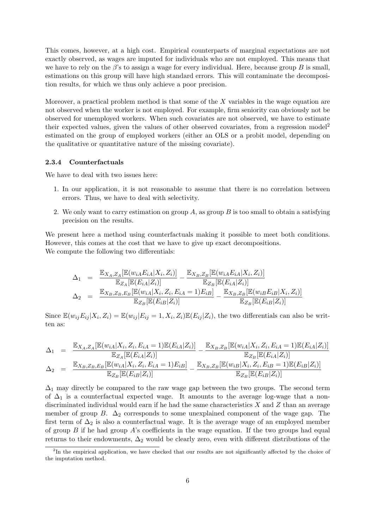This comes, however, at a high cost. Empirical counterparts of marginal expectations are not exactly observed, as wages are imputed for individuals who are not employed. This means that we have to rely on the  $\beta$ 's to assign a wage for every individual. Here, because group B is small, estimations on this group will have high standard errors. This will contaminate the decomposition results, for which we thus only achieve a poor precision.

Moreover, a practical problem method is that some of the  $X$  variables in the wage equation are not observed when the worker is not employed. For example, firm seniority can obviously not be observed for unemployed workers. When such covariates are not observed, we have to estimate their expected values, given the values of other observed covariates, from a regression model<sup>2</sup> estimated on the group of employed workers (either an OLS or a probit model, depending on the qualitative or quantitative nature of the missing covariate).

## 2.3.4 Counterfactuals

We have to deal with two issues here:

- 1. In our application, it is not reasonable to assume that there is no correlation between errors. Thus, we have to deal with selectivity.
- 2. We only want to carry estimation on group  $A$ , as group  $B$  is too small to obtain a satisfying precision on the results.

We present here a method using counterfactuals making it possible to meet both conditions. However, this comes at the cost that we have to give up exact decompositions. We compute the following two differentials:

$$
\Delta_1 = \frac{\mathbb{E}_{X_A, Z_A}[\mathbb{E}(w_{iA}E_{iA}|X_i, Z_i)]}{\mathbb{E}_{Z_A}[\mathbb{E}(E_{iA}|Z_i)]} - \frac{\mathbb{E}_{X_B, Z_B}[\mathbb{E}(w_{iA}E_{iA}|X_i, Z_i)]}{\mathbb{E}_{Z_B}[\mathbb{E}(E_{iA}|Z_i)]}
$$
  
\n
$$
\Delta_2 = \frac{\mathbb{E}_{X_B, Z_B, E_B}[\mathbb{E}(w_{iA}|X_i, Z_i, E_{iA} = 1)E_{iB}]}{\mathbb{E}_{Z_B}[\mathbb{E}(E_{iB}|Z_i)]} - \frac{\mathbb{E}_{X_B, Z_B}[\mathbb{E}(w_{iB}E_{iB}|X_i, Z_i)]}{\mathbb{E}_{Z_B}[\mathbb{E}(E_{iB}|Z_i)]}
$$

Since  $\mathbb{E}(w_{ij}E_{ij}|X_i, Z_i) = \mathbb{E}(w_{ij}|E_{ij}=1, X_i, Z_i)\mathbb{E}(E_{ij}|Z_i)$ , the two differentials can also be written as:

$$
\Delta_1 = \frac{\mathbb{E}_{X_A, Z_A}[\mathbb{E}(w_{iA}|X_i, Z_i, E_{iA} = 1)\mathbb{E}(E_{iA}|Z_i)]}{\mathbb{E}_{Z_A}[\mathbb{E}(E_{iA}|Z_i)]} - \frac{\mathbb{E}_{X_B, Z_B}[\mathbb{E}(w_{iA}|X_i, Z_i, E_{iA} = 1)\mathbb{E}(E_{iA}|Z_i)]}{\mathbb{E}_{Z_B}[\mathbb{E}(E_{iA}|Z_i)]}
$$
\n
$$
\Delta_2 = \frac{\mathbb{E}_{X_B, Z_B, E_B}[\mathbb{E}(w_{iA}|X_i, Z_i, E_{iA} = 1)E_{iB}]}{\mathbb{E}_{Z_B}[\mathbb{E}(E_{iB}|Z_i)]} - \frac{\mathbb{E}_{X_B, Z_B}[\mathbb{E}(w_{iB}|X_i, Z_i, E_{iB} = 1)\mathbb{E}(E_{iB}|Z_i)]}{\mathbb{E}_{Z_B}[\mathbb{E}(E_{iB}|Z_i)]}
$$

 $\Delta_1$  may directly be compared to the raw wage gap between the two groups. The second term of  $\Delta_1$  is a counterfactual expected wage. It amounts to the average log-wage that a nondiscriminated individual would earn if he had the same characteristics  $X$  and  $Z$  than an average member of group B.  $\Delta_2$  corresponds to some unexplained component of the wage gap. The first term of  $\Delta_2$  is also a counterfactual wage. It is the average wage of an employed member of group  $B$  if he had group  $A$ 's coefficients in the wage equation. If the two groups had equal returns to their endowments,  $\Delta_2$  would be clearly zero, even with different distributions of the

<sup>&</sup>lt;sup>2</sup>In the empirical application, we have checked that our results are not significantly affected by the choice of the imputation method.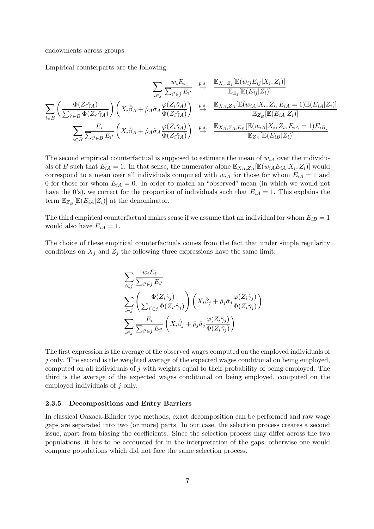endowments across groups.

Empirical counterparts are the following:

$$
\sum_{i \in j} \frac{w_i E_i}{\sum_{i' \in j} E_{i'}} \xrightarrow{p.s.} \frac{\mathbb{E}_{X_j, Z_j}[\mathbb{E}(w_{ij} E_{ij} | X_i, Z_i)]}{\mathbb{E}_{Z_j}[\mathbb{E}(E_{ij} | Z_i)]}
$$
\n
$$
\sum_{i \in B} \left( \frac{\Phi(Z_i \hat{\gamma}_A)}{\sum_{i' \in B} \Phi(Z_{i'} \hat{\gamma}_A)} \right) \left( X_i \hat{\beta}_A + \hat{\rho}_A \hat{\sigma}_A \frac{\varphi(Z_i \hat{\gamma}_A)}{\Phi(Z_i \hat{\gamma}_A)} \right) \xrightarrow{p.s.} \frac{\mathbb{E}_{X_B, Z_B}[\mathbb{E}(w_{iA} | X_i, Z_i, E_{iA} = 1)\mathbb{E}(E_{iA} | Z_i)]}{\mathbb{E}_{Z_B}[\mathbb{E}(E_{iA} | Z_i)]}
$$
\n
$$
\sum_{i \in B} \frac{E_i}{\sum_{i' \in B} E_{i'}} \left( X_i \hat{\beta}_A + \hat{\rho}_A \hat{\sigma}_A \frac{\varphi(Z_i \hat{\gamma}_A)}{\Phi(Z_i \hat{\gamma}_A)} \right) \xrightarrow{p.s.} \frac{\mathbb{E}_{X_B, Z_B, E_B}[\mathbb{E}(w_{iA} | X_i, Z_i, E_{iA} = 1)E_{iB}]}{\mathbb{E}_{Z_B}[\mathbb{E}(E_{iB} | Z_i)]}
$$

The second empirical counterfactual is supposed to estimate the mean of  $w_{iA}$  over the individuals of B such that  $E_{iA} = 1$ . In that sense, the numerator alone  $\mathbb{E}_{X_B, Z_B}[\mathbb{E}(w_{iA}E_{iA}|X_i, Z_i)]$  would correspond to a mean over all individuals computed with  $w_{iA}$  for those for whom  $E_{iA} = 1$  and 0 for those for whom  $E_{iA} = 0$ . In order to match an "observed" mean (in which we would not have the 0's), we correct for the proportion of individuals such that  $E_{iA} = 1$ . This explains the term  $\mathbb{E}_{Z_B}[\mathbb{E}(E_{iA}|Z_i)]$  at the denominator.

The third empirical counterfactual makes sense if we assume that an individual for whom  $E_{iB} = 1$ would also have  $E_{iA} = 1$ .

The choice of these empirical counterfactuals comes from the fact that under simple regularity conditions on  $X_j$  and  $Z_j$  the following three expressions have the same limit:

$$
\sum_{i \in j} \frac{w_i E_i}{\sum_{i' \in j} E_{i'}}
$$
\n
$$
\sum_{i \in j} \left( \frac{\Phi(Z_i \hat{\gamma}_j)}{\sum_{i' \in j} \Phi(Z_{i'} \hat{\gamma}_j)} \right) \left( X_i \hat{\beta}_j + \hat{\rho}_j \hat{\sigma}_j \frac{\varphi(Z_i \hat{\gamma}_j)}{\Phi(Z_i \hat{\gamma}_j)} \right)
$$
\n
$$
\sum_{i \in j} \frac{E_i}{\sum_{i' \in j} E_{i'}} \left( X_i \hat{\beta}_j + \hat{\rho}_j \hat{\sigma}_j \frac{\varphi(Z_i \hat{\gamma}_j)}{\Phi(Z_i \hat{\gamma}_j)} \right)
$$

The first expression is the average of the observed wages computed on the employed individuals of  $j$  only. The second is the weighted average of the expected wages conditional on being employed, computed on all individuals of j with weights equal to their probability of being employed. The third is the average of the expected wages conditional on being employed, computed on the employed individuals of j only.

#### <span id="page-6-0"></span>2.3.5 Decompositions and Entry Barriers

In classical Oaxaca-Blinder type methods, exact decomposition can be performed and raw wage gaps are separated into two (or more) parts. In our case, the selection process creates a second issue, apart from biasing the coefficients. Since the selection process may differ across the two populations, it has to be accounted for in the interpretation of the gaps, otherwise one would compare populations which did not face the same selection process.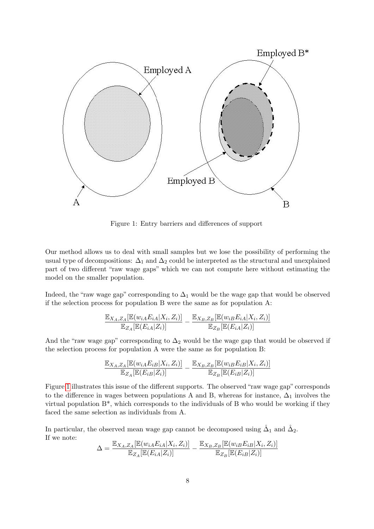

<span id="page-7-0"></span>Figure 1: Entry barriers and differences of support

Our method allows us to deal with small samples but we lose the possibility of performing the usual type of decompositions:  $\Delta_1$  and  $\Delta_2$  could be interpreted as the structural and unexplained part of two different "raw wage gaps" which we can not compute here without estimating the model on the smaller population.

Indeed, the "raw wage gap" corresponding to  $\Delta_1$  would be the wage gap that would be observed if the selection process for population B were the same as for population A:

$$
\frac{\mathbb{E}_{X_A,Z_A}[\mathbb{E}(w_{iA}E_{iA}|X_i,Z_i)]}{\mathbb{E}_{Z_A}[\mathbb{E}(E_{iA}|Z_i)]} - \frac{\mathbb{E}_{X_B,Z_B}[\mathbb{E}(w_{iB}E_{iA}|X_i,Z_i)]}{\mathbb{E}_{Z_B}[\mathbb{E}(E_{iA}|Z_i)]}
$$

And the "raw wage gap" corresponding to  $\Delta_2$  would be the wage gap that would be observed if the selection process for population A were the same as for population B:

$$
\frac{\mathbb{E}_{X_A,Z_A}[\mathbb{E}(w_{iA}E_{iB}|X_i,Z_i)]}{\mathbb{E}_{Z_A}[\mathbb{E}(E_{iB}|Z_i)]}-\frac{\mathbb{E}_{X_B,Z_B}[\mathbb{E}(w_{iB}E_{iB}|X_i,Z_i)]}{\mathbb{E}_{Z_B}[\mathbb{E}(E_{iB}|Z_i)]}
$$

Figure [1](#page-7-0) illustrates this issue of the different supports. The observed "raw wage gap" corresponds to the difference in wages between populations A and B, whereas for instance,  $\Delta_1$  involves the virtual population  $B^*$ , which corresponds to the individuals of B who would be working if they faced the same selection as individuals from A.

In particular, the observed mean wage gap cannot be decomposed using  $\hat{\Delta}_1$  and  $\hat{\Delta}_2$ . If we note:

$$
\Delta = \frac{\mathbb{E}_{X_A, Z_A}[\mathbb{E}(w_{iA}E_{iA}|X_i, Z_i)]}{\mathbb{E}_{Z_A}[\mathbb{E}(E_{iA}|Z_i)]} - \frac{\mathbb{E}_{X_B, Z_B}[\mathbb{E}(w_{iB}E_{iB}|X_i, Z_i)]}{\mathbb{E}_{Z_B}[\mathbb{E}(E_{iB}|Z_i)]}
$$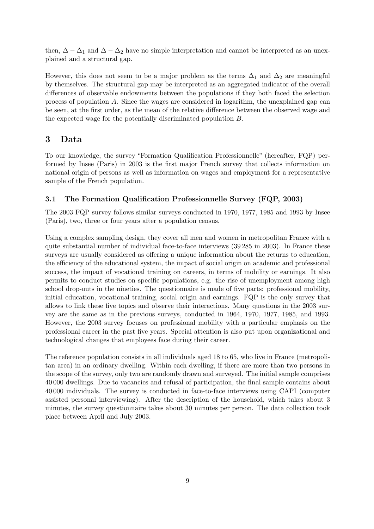then,  $\Delta - \Delta_1$  and  $\Delta - \Delta_2$  have no simple interpretation and cannot be interpreted as an unexplained and a structural gap.

However, this does not seem to be a major problem as the terms  $\Delta_1$  and  $\Delta_2$  are meaningful by themselves. The structural gap may be interpreted as an aggregated indicator of the overall differences of observable endowments between the populations if they both faced the selection process of population A. Since the wages are considered in logarithm, the unexplained gap can be seen, at the first order, as the mean of the relative difference between the observed wage and the expected wage for the potentially discriminated population B.

# 3 Data

To our knowledge, the survey "Formation Qualification Professionnelle" (hereafter, FQP) performed by Insee (Paris) in 2003 is the first major French survey that collects information on national origin of persons as well as information on wages and employment for a representative sample of the French population.

# 3.1 The Formation Qualification Professionnelle Survey (FQP, 2003)

The 2003 FQP survey follows similar surveys conducted in 1970, 1977, 1985 and 1993 by Insee (Paris), two, three or four years after a population census.

Using a complex sampling design, they cover all men and women in metropolitan France with a quite substantial number of individual face-to-face interviews (39 285 in 2003). In France these surveys are usually considered as offering a unique information about the returns to education, the efficiency of the educational system, the impact of social origin on academic and professional success, the impact of vocational training on careers, in terms of mobility or earnings. It also permits to conduct studies on specific populations, e.g. the rise of unemployment among high school drop-outs in the nineties. The questionnaire is made of five parts: professional mobility, initial education, vocational training, social origin and earnings. FQP is the only survey that allows to link these five topics and observe their interactions. Many questions in the 2003 survey are the same as in the previous surveys, conducted in 1964, 1970, 1977, 1985, and 1993. However, the 2003 survey focuses on professional mobility with a particular emphasis on the professional career in the past five years. Special attention is also put upon organizational and technological changes that employees face during their career.

The reference population consists in all individuals aged 18 to 65, who live in France (metropolitan area) in an ordinary dwelling. Within each dwelling, if there are more than two persons in the scope of the survey, only two are randomly drawn and surveyed. The initial sample comprises 40 000 dwellings. Due to vacancies and refusal of participation, the final sample contains about 40 000 individuals. The survey is conducted in face-to-face interviews using CAPI (computer assisted personal interviewing). After the description of the household, which takes about 3 minutes, the survey questionnaire takes about 30 minutes per person. The data collection took place between April and July 2003.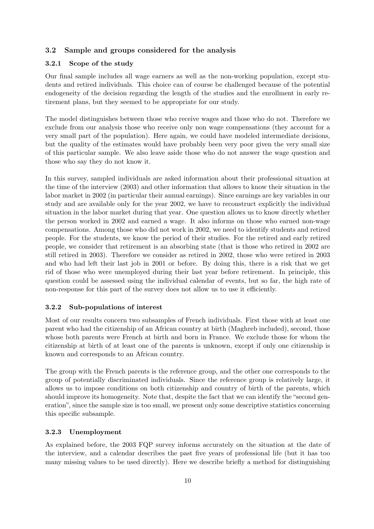# 3.2 Sample and groups considered for the analysis

### 3.2.1 Scope of the study

Our final sample includes all wage earners as well as the non-working population, except students and retired individuals. This choice can of course be challenged because of the potential endogeneity of the decision regarding the length of the studies and the enrollment in early retirement plans, but they seemed to be appropriate for our study.

The model distinguishes between those who receive wages and those who do not. Therefore we exclude from our analysis those who receive only non wage compensations (they account for a very small part of the population). Here again, we could have modeled intermediate decisions, but the quality of the estimates would have probably been very poor given the very small size of this particular sample. We also leave aside those who do not answer the wage question and those who say they do not know it.

In this survey, sampled individuals are asked information about their professional situation at the time of the interview (2003) and other information that allows to know their situation in the labor market in 2002 (in particular their annual earnings). Since earnings are key variables in our study and are available only for the year 2002, we have to reconstruct explicitly the individual situation in the labor market during that year. One question allows us to know directly whether the person worked in 2002 and earned a wage. It also informs on those who earned non-wage compensations. Among those who did not work in 2002, we need to identify students and retired people. For the students, we know the period of their studies. For the retired and early retired people, we consider that retirement is an absorbing state (that is those who retired in 2002 are still retired in 2003). Therefore we consider as retired in 2002, those who were retired in 2003 and who had left their last job in 2001 or before. By doing this, there is a risk that we get rid of those who were unemployed during their last year before retirement. In principle, this question could be assessed using the individual calendar of events, but so far, the high rate of non-response for this part of the survey does not allow us to use it efficiently.

### 3.2.2 Sub-populations of interest

Most of our results concern two subsamples of French individuals. First those with at least one parent who had the citizenship of an African country at birth (Maghreb included), second, those whose both parents were French at birth and born in France. We exclude those for whom the citizenship at birth of at least one of the parents is unknown, except if only one citizenship is known and corresponds to an African country.

The group with the French parents is the reference group, and the other one corresponds to the group of potentially discriminated individuals. Since the reference group is relatively large, it allows us to impose conditions on both citizenship and country of birth of the parents, which should improve its homogeneity. Note that, despite the fact that we can identify the "second generation", since the sample size is too small, we present only some descriptive statistics concerning this specific subsample.

## 3.2.3 Unemployment

As explained before, the 2003 FQP survey informs accurately on the situation at the date of the interview, and a calendar describes the past five years of professional life (but it has too many missing values to be used directly). Here we describe briefly a method for distinguishing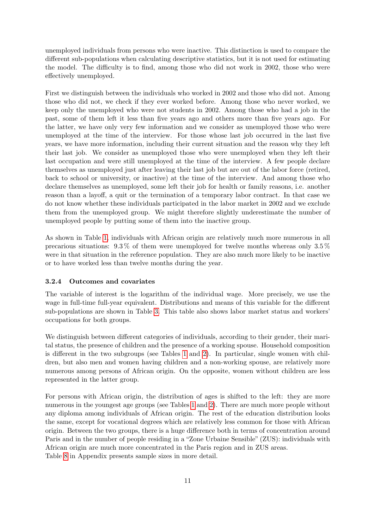unemployed individuals from persons who were inactive. This distinction is used to compare the different sub-populations when calculating descriptive statistics, but it is not used for estimating the model. The difficulty is to find, among those who did not work in 2002, those who were effectively unemployed.

First we distinguish between the individuals who worked in 2002 and those who did not. Among those who did not, we check if they ever worked before. Among those who never worked, we keep only the unemployed who were not students in 2002. Among those who had a job in the past, some of them left it less than five years ago and others more than five years ago. For the latter, we have only very few information and we consider as unemployed those who were unemployed at the time of the interview. For those whose last job occurred in the last five years, we have more information, including their current situation and the reason why they left their last job. We consider as unemployed those who were unemployed when they left their last occupation and were still unemployed at the time of the interview. A few people declare themselves as unemployed just after leaving their last job but are out of the labor force (retired, back to school or university, or inactive) at the time of the interview. And among those who declare themselves as unemployed, some left their job for health or family reasons, i.e. another reason than a layoff, a quit or the termination of a temporary labor contract. In that case we do not know whether these individuals participated in the labor market in 2002 and we exclude them from the unemployed group. We might therefore slightly underestimate the number of unemployed people by putting some of them into the inactive group.

As shown in Table [1,](#page-11-0) individuals with African origin are relatively much more numerous in all precarious situations:  $9.3\%$  of them were unemployed for twelve months whereas only  $3.5\%$ were in that situation in the reference population. They are also much more likely to be inactive or to have worked less than twelve months during the year.

# 3.2.4 Outcomes and covariates

The variable of interest is the logarithm of the individual wage. More precisely, we use the wage in full-time full-year equivalent. Distributions and means of this variable for the different sub-populations are shown in Table [3.](#page-13-0) This table also shows labor market status and workers' occupations for both groups.

We distinguish between different categories of individuals, according to their gender, their marital status, the presence of children and the presence of a working spouse. Household composition is different in the two subgroups (see Tables [1](#page-11-0) and [2\)](#page-12-0). In particular, single women with children, but also men and women having children and a non-working spouse, are relatively more numerous among persons of African origin. On the opposite, women without children are less represented in the latter group.

For persons with African origin, the distribution of ages is shifted to the left: they are more numerous in the youngest age groups (see Tables [1](#page-11-0) and [2\)](#page-12-0). There are much more people without any diploma among individuals of African origin. The rest of the education distribution looks the same, except for vocational degrees which are relatively less common for those with African origin. Between the two groups, there is a huge difference both in terms of concentration around Paris and in the number of people residing in a "Zone Urbaine Sensible" (ZUS): individuals with African origin are much more concentrated in the Paris region and in ZUS areas. Table [8](#page-22-0) in Appendix presents sample sizes in more detail.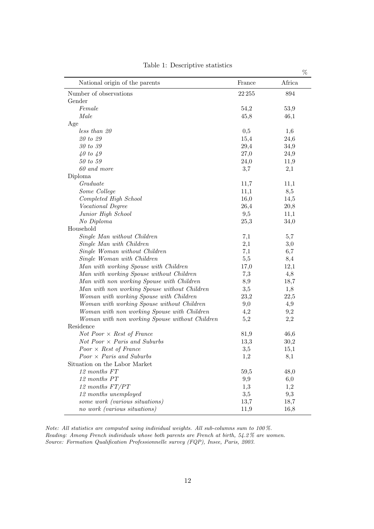|                                                |           | $\%$   |
|------------------------------------------------|-----------|--------|
| National origin of the parents                 | France    | Africa |
| Number of observations                         | $22\,255$ | 894    |
| Gender                                         |           |        |
| Female                                         | 54,2      | 53,9   |
| Male                                           | 45,8      | 46,1   |
| Age                                            |           |        |
| less than 20                                   | 0,5       | 1,6    |
| $\it 20$ to $\it 29$                           | 15,4      | 24,6   |
| 30 to 39                                       | 29,4      | 34,9   |
| $40$ to $49$                                   | 27,0      | 24,9   |
| $50\ to\ 59$                                   | 24,0      | 11,9   |
| 60 and more                                    | 3,7       | 2,1    |
| Diploma                                        |           |        |
| Graduate                                       | 11,7      | 11,1   |
| Some College                                   | 11,1      | 8,5    |
| Completed High School                          | 16,0      | 14,5   |
| Vocational Degree                              | 26,4      | 20,8   |
| Junior High School                             | 9,5       | 11,1   |
| No Diploma                                     | 25,3      | 34,0   |
| Household                                      |           |        |
| Single Man without Children                    | 7,1       | 5,7    |
| Single Man with Children                       | 2,1       | 3,0    |
| Single Woman without Children                  | 7,1       | 6,7    |
| Single Woman with Children                     | 5,5       | 8,4    |
| Man with working Spouse with Children          | 17,0      | 12,1   |
| Man with working Spouse without Children       | 7,3       | 4,8    |
| Man with non working Spouse with Children      | 8,9       | 18,7   |
| Man with non working Spouse without Children   | 3,5       | 1,8    |
| Woman with working Spouse with Children        | 23,2      | 22,5   |
| Woman with working Spouse without Children     | 9,0       | 4,9    |
| Woman with non working Spouse with Children    | 4,2       | 9,2    |
| Woman with non working Spouse without Children | 5,2       | 2,2    |
| Residence                                      |           |        |
| <i>Not Poor</i> $\times$ <i>Rest of France</i> | 81,9      | 46,6   |
| $Not\ Poor \times \ Paris\ and\ Suburbs$       | 13,3      | 30,2   |
| $Poor \times Rest$ of France                   | 3,5       | 15,1   |
| $Poor \times Paris$ and Suburbs                | 1,2       | 8,1    |
| Situation on the Labor Market                  |           |        |
| 12 months FT                                   | 59,5      | 48,0   |
| 12 months PT                                   | 9,9       | 6,0    |
| 12 months FT/PT                                | 1,3       | 1,2    |
| 12 months unemployed                           | 3,5       | 9,3    |
| some work (various situations)                 | 13,7      | 18,7   |
| no work (various situations)                   | 11,9      | 16,8   |

<span id="page-11-0"></span>Table 1: Descriptive statistics

Note: All statistics are computed using individual weights. All sub-columns sum to 100 %. Reading: Among French individuals whose both parents are French at birth, 54.2 % are women. Source: Formation Qualification Professionnelle survey (FQP), Insee, Paris, 2003.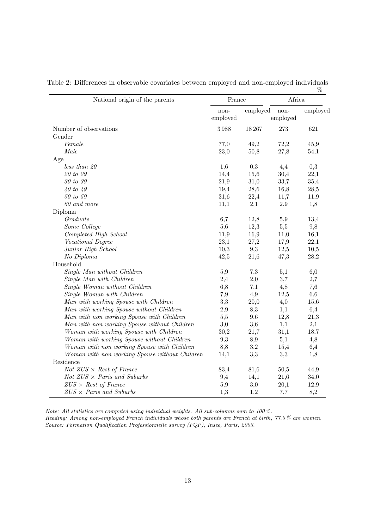| National origin of the parents                 | France           |          | Africa           |          |
|------------------------------------------------|------------------|----------|------------------|----------|
|                                                | non-<br>employed | employed | non-<br>employed | employed |
| Number of observations                         | 3988             | 18267    | 273              | 621      |
| Gender                                         |                  |          |                  |          |
| Female                                         | 77,0             | 49,2     | 72,2             | 45,9     |
| Male                                           | 23,0             | 50,8     | 27,8             | 54,1     |
| Age                                            |                  |          |                  |          |
| less than 20                                   | 1,6              | 0,3      | 4,4              | 0,3      |
| 20 to 29                                       | 14,4             | 15,6     | 30,4             | 22,1     |
| 30 to 39                                       | 21,9             | 31,0     | 33,7             | 35,4     |
| 40 to 49                                       | 19,4             | 28,6     | 16,8             | 28,5     |
| $50\ to\ 59$                                   | 31,6             | 22,4     | 11,7             | 11,9     |
| 60 and more                                    | 11,1             | 2,1      | 2,9              | 1,8      |
| Diploma                                        |                  |          |                  |          |
| Graduate                                       | 6,7              | 12,8     | 5,9              | 13,4     |
| Some College                                   | 5,6              | 12,3     | 5,5              | 9,8      |
| Completed High School                          | 11,9             | 16,9     | 11,0             | 16,1     |
| Vocational Degree                              | 23,1             | 27,2     | 17,9             | 22,1     |
| Junior High School                             | 10,3             | 9,3      | 12,5             | 10,5     |
| No Diploma                                     | 42,5             | 21,6     | 47,3             | 28,2     |
| Household                                      |                  |          |                  |          |
| Single Man without Children                    | 5,9              | 7,3      | 5,1              | 6,0      |
| Single Man with Children                       | 2,4              | 2,0      | 3,7              | 2,7      |
| Single Woman without Children                  | 6,8              | 7,1      | 4,8              | 7,6      |
| Single Woman with Children                     | 7,9              | 4,9      | 12,5             | 6,6      |
| Man with working Spouse with Children          | 3,3              | 20,0     | 4,0              | 15,6     |
| Man with working Spouse without Children       | 2,9              | 8,3      | 1,1              | 6,4      |
| Man with non working Spouse with Children      | 5,5              | 9,6      | 12,8             | 21,3     |
| Man with non working Spouse without Children   | 3,0              | 3,6      | 1,1              | 2,1      |
| Woman with working Spouse with Children        | 30,2             | 21,7     | 31,1             | 18,7     |
| Woman with working Spouse without Children     | 9,3              | 8,9      | 5,1              | 4,8      |
| Woman with non working Spouse with Children    | 8,8              | 3,2      | 15,4             | 6,4      |
| Woman with non working Spouse without Children | 14,1             | 3,3      | 3,3              | 1,8      |
| Residence                                      |                  |          |                  |          |
| Not $ZUS \times Rest$ of France                | 83,4             | 81,6     | 50,5             | 44,9     |
| Not $ZUS \times Paris$ and Suburbs             | 9,4              | 14,1     | 21,6             | 34,0     |
| $ZUS \times Rest$ of France                    | 5,9              | 3,0      | 20,1             | 12,9     |
| $ZUS \times Paris$ and Suburbs                 | $1,\!3$          | 1,2      | 7,7              | 8,2      |

<span id="page-12-0"></span>Table 2: Differences in observable covariates between employed and non-employed individuals  $\%$ 

Note: All statistics are computed using individual weights. All sub-columns sum to 100 %.

Reading: Among non-employed French individuals whose both parents are French at birth, 77.0 % are women. Source: Formation Qualification Professionnelle survey (FQP), Insee, Paris, 2003.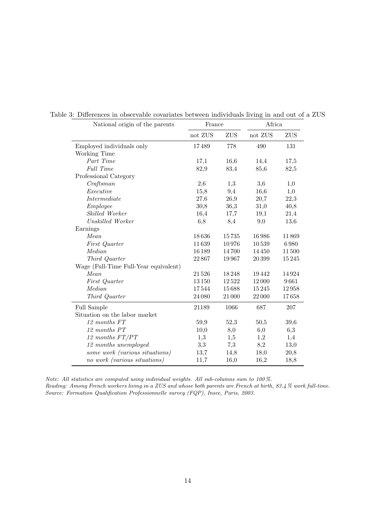<span id="page-13-0"></span>

| National origin of the parents        |         | France |         | Africa |  |  |
|---------------------------------------|---------|--------|---------|--------|--|--|
|                                       | not ZUS | ZUS    | not ZUS | ZUS    |  |  |
| Employed individuals only             | 17489   | 778    | 490     | 131    |  |  |
| Working Time                          |         |        |         |        |  |  |
| Part Time                             | 17,1    | 16,6   | 14,4    | 17,5   |  |  |
| Full Time                             | 82,9    | 83,4   | 85,6    | 82,5   |  |  |
| Professional Category                 |         |        |         |        |  |  |
| Craftsman                             | 2,6     | 1,3    | 3,6     | 1,0    |  |  |
| Executive                             | 15,8    | 9,4    | 16,6    | 1,0    |  |  |
| Intermediate                          | 27,6    | 26,9   | 20,7    | 22,3   |  |  |
| Employee                              | 30,8    | 36,3   | 31,0    | 40,8   |  |  |
| Skilled Worker                        | 16,4    | 17,7   | 19,1    | 21,4   |  |  |
| Unskilled Worker                      | 6,8     | 8,4    | 9,0     | 13,6   |  |  |
| Earnings                              |         |        |         |        |  |  |
| Mean                                  | 18636   | 15735  | 16986   | 11869  |  |  |
| First Quarter                         | 11639   | 10976  | 10539   | 6980   |  |  |
| Median                                | 16189   | 14700  | 14450   | 11500  |  |  |
| Third Quarter                         | 22867   | 19967  | 20399   | 15245  |  |  |
| Wage (Full-Time Full-Year equivalent) |         |        |         |        |  |  |
| Mean                                  | 21526   | 18248  | 19442   | 14924  |  |  |
| First Quarter                         | 13150   | 12522  | 12000   | 9661   |  |  |
| Median                                | 17544   | 15688  | 15245   | 12958  |  |  |
| Third Quarter                         | 24 08 0 | 21 000 | 22000   | 17658  |  |  |
| Full Sample                           | 21189   | 1066   | 687     | 207    |  |  |
| Situation on the labor market         |         |        |         |        |  |  |
| 12 months FT                          | 59,9    | 52,3   | 50,5    | 39,6   |  |  |
| 12 months PT                          | 10,0    | 8,0    | 6,0     | 6,3    |  |  |
| 12 months FT/PT                       | 1,3     | 1,5    | 1,2     | 1,4    |  |  |
| 12 months unemployed                  | 3,3     | 7,3    | 8,2     | 13,0   |  |  |
| some work (various situations)        | 13,7    | 14,8   | 18,0    | 20,8   |  |  |
| no work (various situations)          | 11,7    | 16,0   | 16,2    | 18,8   |  |  |
|                                       |         |        |         |        |  |  |

Table 3: Differences in observable covariates between individuals living in and out of a ZUS

Note: All statistics are computed using individual weights. All sub-columns sum to 100 %. Reading: Among French workers living in a ZUS and whose both parents are French at birth, 83.4 % work full-time. Source: Formation Qualification Professionnelle survey (FQP), Insee, Paris, 2003.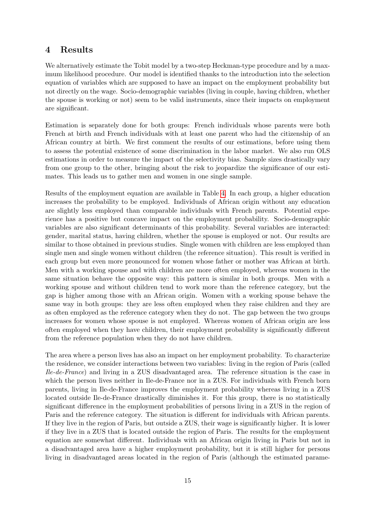# 4 Results

We alternatively estimate the Tobit model by a two-step Heckman-type procedure and by a maximum likelihood procedure. Our model is identified thanks to the introduction into the selection equation of variables which are supposed to have an impact on the employment probability but not directly on the wage. Socio-demographic variables (living in couple, having children, whether the spouse is working or not) seem to be valid instruments, since their impacts on employment are significant.

Estimation is separately done for both groups: French individuals whose parents were both French at birth and French individuals with at least one parent who had the citizenship of an African country at birth. We first comment the results of our estimations, before using them to assess the potential existence of some discrimination in the labor market. We also run OLS estimations in order to measure the impact of the selectivity bias. Sample sizes drastically vary from one group to the other, bringing about the risk to jeopardize the significance of our estimates. This leads us to gather men and women in one single sample.

Results of the employment equation are available in Table [4.](#page-16-0) In each group, a higher education increases the probability to be employed. Individuals of African origin without any education are slightly less employed than comparable individuals with French parents. Potential experience has a positive but concave impact on the employment probability. Socio-demographic variables are also significant determinants of this probability. Several variables are interacted: gender, marital status, having children, whether the spouse is employed or not. Our results are similar to those obtained in previous studies. Single women with children are less employed than single men and single women without children (the reference situation). This result is verified in each group but even more pronounced for women whose father or mother was African at birth. Men with a working spouse and with children are more often employed, whereas women in the same situation behave the opposite way: this pattern is similar in both groups. Men with a working spouse and without children tend to work more than the reference category, but the gap is higher among those with an African origin. Women with a working spouse behave the same way in both groups: they are less often employed when they raise children and they are as often employed as the reference category when they do not. The gap between the two groups increases for women whose spouse is not employed. Whereas women of African origin are less often employed when they have children, their employment probability is significantly different from the reference population when they do not have children.

The area where a person lives has also an impact on her employment probability. To characterize the residence, we consider interactions between two variables: living in the region of Paris (called Ile-de-France) and living in a ZUS disadvantaged area. The reference situation is the case in which the person lives neither in Ile-de-France nor in a ZUS. For individuals with French born parents, living in Ile-de-France improves the employment probability whereas living in a ZUS located outside Ile-de-France drastically diminishes it. For this group, there is no statistically significant difference in the employment probabilities of persons living in a ZUS in the region of Paris and the reference category. The situation is different for individuals with African parents. If they live in the region of Paris, but outside a ZUS, their wage is significantly higher. It is lower if they live in a ZUS that is located outside the region of Paris. The results for the employment equation are somewhat different. Individuals with an African origin living in Paris but not in a disadvantaged area have a higher employment probability, but it is still higher for persons living in disadvantaged areas located in the region of Paris (although the estimated parame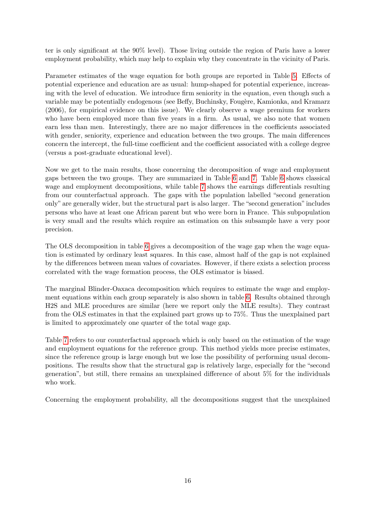ter is only significant at the 90% level). Those living outside the region of Paris have a lower employment probability, which may help to explain why they concentrate in the vicinity of Paris.

Parameter estimates of the wage equation for both groups are reported in Table [5.](#page-17-0) Effects of potential experience and education are as usual: hump-shaped for potential experience, increasing with the level of education. We introduce firm seniority in the equation, even though such a variable may be potentially endogenous (see Beffy, Buchinsky, Fougère, Kamionka, and Kramarz (2006), for empirical evidence on this issue). We clearly observe a wage premium for workers who have been employed more than five years in a firm. As usual, we also note that women earn less than men. Interestingly, there are no major differences in the coefficients associated with gender, seniority, experience and education between the two groups. The main differences concern the intercept, the full-time coefficient and the coefficient associated with a college degree (versus a post-graduate educational level).

Now we get to the main results, those concerning the decomposition of wage and employment gaps between the two groups. They are summarized in Table [6](#page-18-0) and [7.](#page-18-1) Table [6](#page-18-0) shows classical wage and employment decompositions, while table [7](#page-18-1) shows the earnings differentials resulting from our counterfactual approach. The gaps with the population labelled "second generation only" are generally wider, but the structural part is also larger. The "second generation" includes persons who have at least one African parent but who were born in France. This subpopulation is very small and the results which require an estimation on this subsample have a very poor precision.

The OLS decomposition in table [6](#page-18-0) gives a decomposition of the wage gap when the wage equation is estimated by ordinary least squares. In this case, almost half of the gap is not explained by the differences between mean values of covariates. However, if there exists a selection process correlated with the wage formation process, the OLS estimator is biased.

The marginal Blinder-Oaxaca decomposition which requires to estimate the wage and employment equations within each group separately is also shown in table [6.](#page-18-0) Results obtained through H2S and MLE procedures are similar (here we report only the MLE results). They contrast from the OLS estimates in that the explained part grows up to 75%. Thus the unexplained part is limited to approximately one quarter of the total wage gap.

Table [7](#page-18-1) refers to our counterfactual approach which is only based on the estimation of the wage and employment equations for the reference group. This method yields more precise estimates, since the reference group is large enough but we lose the possibility of performing usual decompositions. The results show that the structural gap is relatively large, especially for the "second generation", but still, there remains an unexplained difference of about 5% for the individuals who work.

Concerning the employment probability, all the decompositions suggest that the unexplained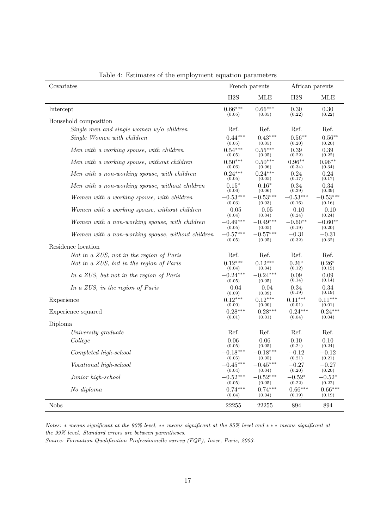| Covariates                                        |            | French parents |            | African parents |
|---------------------------------------------------|------------|----------------|------------|-----------------|
|                                                   | H2S        | <b>MLE</b>     | H2S        | <b>MLE</b>      |
| Intercept                                         | $0.66***$  | $0.66***$      | 0.30       | 0.30            |
|                                                   | (0.05)     | (0.05)         | (0.22)     | (0.22)          |
| Household composition                             |            |                |            |                 |
| Single men and single women $w/o$ children        | Ref.       | Ref.           | Ref.       | Ref.            |
| Single Women with children                        | $-0.44***$ | $-0.43***$     | $-0.56**$  | $-0.56**$       |
|                                                   | (0.05)     | (0.05)         | (0.20)     | (0.20)          |
| Men with a working spouse, with children          | $0.54***$  | $0.55***$      | 0.39       | 0.39            |
|                                                   | (0.05)     | (0.05)         | (0.22)     | (0.22)          |
| Men with a working spouse, without children       | $0.50***$  | $0.50***$      | $0.96**$   | $0.96**$        |
|                                                   | (0.06)     | (0.06)         | (0.34)     | (0.34)          |
| Men with a non-working spouse, with children      | $0.24***$  | $0.24***$      | 0.24       | 0.24            |
|                                                   | (0.05)     | (0.05)         | (0.17)     | (0.17)          |
| Men with a non-working spouse, without children   | $0.15*$    | $0.16*$        | 0.34       | 0.34            |
|                                                   | (0.06)     | (0.06)         | (0.39)     | (0.39)          |
| Women with a working spouse, with children        | $-0.53***$ | $-0.53***$     | $-0.53***$ | $-0.53***$      |
|                                                   | (0.03)     | (0.03)         | (0.16)     | (0.16)          |
| Women with a working spouse, without children     | $-0.05$    | $-0.05$        | $-0.10$    | $-0.10$         |
|                                                   | (0.04)     | (0.04)         | (0.24)     | (0.24)          |
| Women with a non-working spouse, with children    | $-0.49***$ | $-0.49***$     | $-0.60**$  | $-0.60**$       |
|                                                   | (0.05)     | (0.05)         | (0.19)     | (0.20)          |
| Women with a non-working spouse, without children | $-0.57***$ | $-0.57***$     | $-0.31$    | $-0.31$         |
|                                                   | (0.05)     | (0.05)         | (0.32)     | (0.32)          |
| Residence location                                |            |                |            |                 |
| Not in a ZUS, not in the region of Paris          | Ref.       | Ref.           | Ref.       | Ref.            |
| Not in a ZUS, but in the region of Paris          | $0.12***$  | $0.12***$      | $0.26*$    | $0.26*$         |
|                                                   | (0.04)     | (0.04)         | (0.12)     | (0.12)          |
| In a ZUS, but not in the region of Paris          | $-0.24***$ | $-0.24***$     | 0.09       | 0.09            |
|                                                   | (0.05)     | (0.05)         | (0.14)     | (0.14)          |
| In a ZUS, in the region of Paris                  | $-0.04$    | $-0.04$        | 0.34       | 0.34            |
|                                                   | (0.09)     | (0.09)         | (0.19)     | (0.19)          |
| Experience                                        | $0.12***$  | $0.12***$      | $0.11***$  | $0.11***$       |
|                                                   | (0.00)     | (0.00)         | (0.01)     | (0.01)          |
| Experience squared                                | $-0.28***$ | $-0.28***$     | $-0.24***$ | $-0.24***$      |
|                                                   | (0.01)     | (0.01)         | (0.04)     | (0.04)          |
| Diploma                                           |            |                |            |                 |
| University graduate                               | Ref.       | Ref.           | Ref.       | Ref.            |
| College                                           | $0.06\,$   | 0.06           | 0.10       | 0.10            |
|                                                   | (0.05)     | (0.05)         | (0.24)     | (0.24)          |
| Completed high-school                             | $-0.18***$ | $0.18***$      | $-0.12$    | $-0.12$         |
|                                                   | (0.05)     | (0.05)         | (0.21)     | (0.21)          |
| Vocational high-school                            | $-0.45***$ | $-0.45***$     | $-0.27$    | $-0.27$         |
|                                                   | (0.04)     | (0.04)         | (0.20)     | (0.20)          |
| Junior high-school                                | $-0.52***$ | $-0.52***$     | $-0.52*$   | $-0.52*$        |
|                                                   | (0.05)     | (0.05)         | (0.22)     | (0.22)          |
| No diploma                                        | $-0.74***$ | $-0.74***$     | $-0.66***$ | $-0.66***$      |
|                                                   | (0.04)     | (0.04)         | (0.19)     | (0.19)          |
| <b>Nobs</b>                                       | 22255      | 22255          | 894        | 894             |

<span id="page-16-0"></span>Table 4: Estimates of the employment equation parameters

Notes: ∗ means significant at the 90% level, ∗∗ means significant at the 95% level and ∗ ∗ ∗ means significant at the 99% level. Standard errors are between parentheses.

Source: Formation Qualification Professionnelle survey (FQP), Insee, Paris, 2003.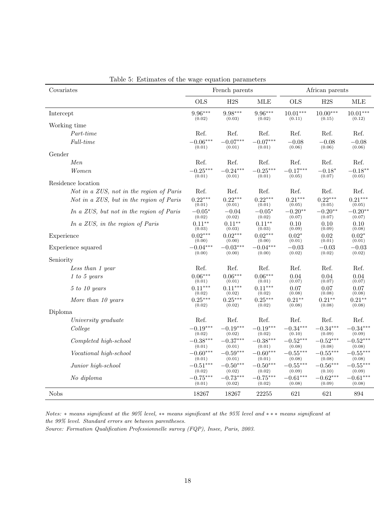| Covariates                               |            | French parents |            |            | African parents |            |
|------------------------------------------|------------|----------------|------------|------------|-----------------|------------|
|                                          | <b>OLS</b> | H2S            | <b>MLE</b> | <b>OLS</b> | H2S             | <b>MLE</b> |
| Intercept                                | $9.96***$  | $9.98***$      | $9.96***$  | $10.01***$ | $10.00***$      | $10.01***$ |
|                                          | (0.02)     | (0.03)         | (0.02)     | (0.11)     | (0.15)          | (0.12)     |
| Working time                             |            |                |            |            |                 |            |
| Part-time                                | Ref.       | Ref.           | Ref.       | Ref.       | Ref.            | Ref.       |
| Full-time                                | $-0.06***$ | $-0.07***$     | $-0.07***$ | $-0.08$    | $-0.08$         | $-0.08$    |
|                                          | (0.01)     | (0.01)         | (0.01)     | (0.06)     | (0.06)          | (0.06)     |
| Gender                                   |            |                |            |            |                 |            |
| Men                                      | Ref.       | Ref.           | Ref.       | Ref.       | Ref.            | Ref.       |
| Women                                    | $-0.25***$ | $-0.24***$     | $-0.25***$ | $-0.17***$ | $-0.18*$        | $-0.18**$  |
|                                          | (0.01)     | (0.01)         | (0.01)     | (0.05)     | (0.07)          | (0.05)     |
| Residence location                       |            |                |            |            |                 |            |
| Not in a ZUS, not in the region of Paris | Ref.       | Ref.           | Ref.       | Ref.       | Ref.            | Ref.       |
| Not in a ZUS, but in the region of Paris | $0.22***$  | $0.22***$      | $0.22***$  | $0.21***$  | $0.22***$       | $0.21***$  |
|                                          | (0.01)     | (0.01)         | (0.01)     | (0.05)     | (0.05)          | (0.05)     |
| In a ZUS, but not in the region of Paris | $-0.05*$   | $-0.04$        | $-0.05*$   | $-0.20**$  | $-0.20**$       | $-0.20**$  |
|                                          | (0.02)     | (0.02)         | (0.02)     | (0.07)     | (0.07)          | (0.07)     |
| In a ZUS, in the region of Paris         | $0.11**$   | $0.11**$       | $0.11**$   | 0.10       | 0.10            | 0.10       |
|                                          | (0.03)     | (0.03)         | (0.03)     | (0.09)     | (0.09)          | (0.08)     |
| Experience                               | $0.02***$  | $0.02***$      | $0.02***$  | $0.02*$    | 0.02            | $0.02*$    |
|                                          | (0.00)     | (0.00)         | (0.00)     | (0.01)     | (0.01)          | (0.01)     |
| Experience squared                       | $-0.04***$ | $-0.03***$     | $-0.04***$ | $-0.03$    | $-0.03$         | $-0.03\,$  |
|                                          | (0.00)     | (0.00)         | (0.00)     | (0.02)     | (0.02)          | (0.02)     |
| Seniority                                |            |                |            |            |                 |            |
| Less than 1 year                         | Ref.       | Ref.           | Ref.       | Ref.       | Ref.            | Ref.       |
| 1 to 5 years                             | $0.06***$  | $0.06***$      | $0.06***$  | 0.04       | 0.04            | 0.04       |
|                                          | (0.01)     | (0.01)         | (0.01)     | (0.07)     | (0.07)          | (0.07)     |
| 5 to 10 years                            | $0.11***$  | $0.11***$      | $0.11***$  | 0.07       | 0.07            | 0.07       |
|                                          | (0.02)     | (0.02)         | (0.02)     | (0.08)     | (0.08)          | (0.08)     |
| More than 10 years                       | $0.25***$  | $0.25***$      | $0.25***$  | $0.21***$  | $0.21***$       | $0.21**$   |
|                                          | (0.02)     | (0.02)         | (0.02)     | (0.08)     | (0.08)          | (0.08)     |
| Diploma                                  |            |                |            |            |                 |            |
| University graduate                      | Ref.       | Ref.           | Ref.       | Ref.       | Ref.            | Ref.       |
| College                                  | $-0.19***$ | $-0.19***$     | $-0.19***$ | $-0.34***$ | $-0.34***$      | $-0.34***$ |
|                                          | (0.02)     | (0.02)         | (0.02)     | (0.10)     | (0.09)          | (0.09)     |
| Completed high-school                    | $-0.38***$ | $-0.37***$     | $-0.38***$ | $-0.52***$ | $-0.52***$      | $-0.52***$ |
|                                          | (0.01)     | (0.01)         | (0.01)     | (0.08)     | (0.08)          | (0.08)     |
| Vocational high-school                   | $-0.60***$ | $-0.59***$     | $-0.60***$ | $-0.55***$ | $-0.55***$      | $-0.55***$ |
|                                          | (0.01)     | (0.01)         | (0.01)     | (0.08)     | (0.08)          | (0.08)     |
| Junior high-school                       | $-0.51***$ | $-0.50***$     | $-0.50***$ | $-0.55***$ | $-0.56***$      | $-0.55***$ |
|                                          | (0.02)     | (0.02)         | (0.02)     | (0.09)     | (0.10)          | (0.09)     |
| No diploma                               | $-0.75***$ | $-0.73***$     | $-0.75***$ | $-0.61***$ | $-0.62***$      | $-0.61***$ |
|                                          | (0.01)     | (0.02)         | (0.02)     | (0.08)     | (0.09)          | (0.08)     |
| <b>Nobs</b>                              | 18267      | 18267          | 22255      | 621        | 621             | 894        |

<span id="page-17-0"></span>Table 5: Estimates of the wage equation parameters

Notes: ∗ means significant at the 90% level, ∗∗ means significant at the 95% level and ∗ ∗ ∗ means significant at the 99% level. Standard errors are between parentheses.

Source: Formation Qualification Professionnelle survey (FQP), Insee, Paris, 2003.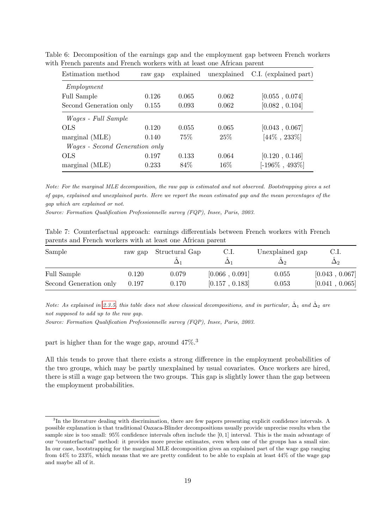<span id="page-18-0"></span>

| Estimation method                     | raw gap | explained | unexplained | C.I. (explained part) |
|---------------------------------------|---------|-----------|-------------|-----------------------|
| Employment                            |         |           |             |                       |
| Full Sample                           | 0.126   | 0.065     | 0.062       | [0.055, 0.074]        |
| Second Generation only                | 0.155   | 0.093     | 0.062       | [0.082, 0.104]        |
| <i>Wages - Full Sample</i>            |         |           |             |                       |
| OLS                                   | 0.120   | 0.055     | 0.065       | [0.043, 0.067]        |
| marginal (MLE)                        | 0.140   | 75%       | 25%         | $[44\% , 233\%]$      |
| <i>Wages - Second Generation only</i> |         |           |             |                       |
| <b>OLS</b>                            | 0.197   | 0.133     | 0.064       | [0.120, 0.146]        |
| marginal (MLE)                        | 0.233   | 84\%      | $16\%$      | $[-196\% , 493\%]$    |

Table 6: Decomposition of the earnings gap and the employment gap between French workers with French parents and French workers with at least one African parent

Note: For the marginal MLE decomposition, the raw gap is estimated and not observed. Bootstrapping gives a set of gaps, explained and unexplained parts. Here we report the mean estimated gap and the mean percentages of the gap which are explained or not.

Source: Formation Qualification Professionnelle survey (FQP), Insee, Paris, 2003.

<span id="page-18-1"></span>

| Table 7: Counterfactual approach: earnings differentials between French workers with French |  |  |  |  |
|---------------------------------------------------------------------------------------------|--|--|--|--|
| parents and French workers with at least one African parent                                 |  |  |  |  |

| Sample                 | raw gap | Structural Gap | C.I.           | Unexplained gap | C.I.<br>$\Delta$ 2 |
|------------------------|---------|----------------|----------------|-----------------|--------------------|
| Full Sample            | 0.120   | 0.079          | [0.066, 0.091] | 0.055           | [0.043, 0.067]     |
| Second Generation only | 0.197   | 0.170          | [0.157, 0.183] | 0.053           | [0.041, 0.065]     |

Note: As explained in [2.3.5,](#page-6-0) this table does not show classical decompositions, and in particular,  $\hat{\Delta}_1$  and  $\hat{\Delta}_2$  are not supposed to add up to the raw gap.

Source: Formation Qualification Professionnelle survey (FQP), Insee, Paris, 2003.

part is higher than for the wage gap, around 47%.<sup>3</sup>

All this tends to prove that there exists a strong difference in the employment probabilities of the two groups, which may be partly unexplained by usual covariates. Once workers are hired, there is still a wage gap between the two groups. This gap is slightly lower than the gap between the employment probabilities.

<sup>&</sup>lt;sup>3</sup>In the literature dealing with discrimination, there are few papers presenting explicit confidence intervals. A possible explanation is that traditional Oaxaca-Blinder decompositions usually provide unprecise results when the sample size is too small: 95% confidence intervals often include the [0, 1] interval. This is the main advantage of our "counterfactual" method: it provides more precise estimates, even when one of the groups has a small size. In our case, bootstrapping for the marginal MLE decomposition gives an explained part of the wage gap ranging from 44% to 233%, which means that we are pretty confident to be able to explain at least 44% of the wage gap and maybe all of it.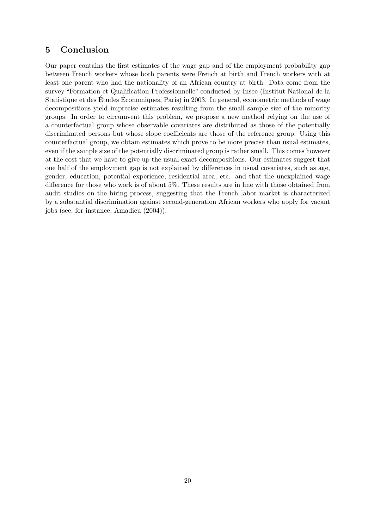# 5 Conclusion

Our paper contains the first estimates of the wage gap and of the employment probability gap between French workers whose both parents were French at birth and French workers with at least one parent who had the nationality of an African country at birth. Data come from the survey "Formation et Qualification Professionnelle" conducted by Insee (Institut National de la Statistique et des Études Économiques, Paris) in 2003. In general, econometric methods of wage decompositions yield imprecise estimates resulting from the small sample size of the minority groups. In order to circumvent this problem, we propose a new method relying on the use of a counterfactual group whose observable covariates are distributed as those of the potentially discriminated persons but whose slope coefficients are those of the reference group. Using this counterfactual group, we obtain estimates which prove to be more precise than usual estimates, even if the sample size of the potentially discriminated group is rather small. This comes however at the cost that we have to give up the usual exact decompositions. Our estimates suggest that one half of the employment gap is not explained by differences in usual covariates, such as age, gender, education, potential experience, residential area, etc. and that the unexplained wage difference for those who work is of about 5%. These results are in line with those obtained from audit studies on the hiring process, suggesting that the French labor market is characterized by a substantial discrimination against second-generation African workers who apply for vacant jobs (see, for instance, Amadieu (2004)).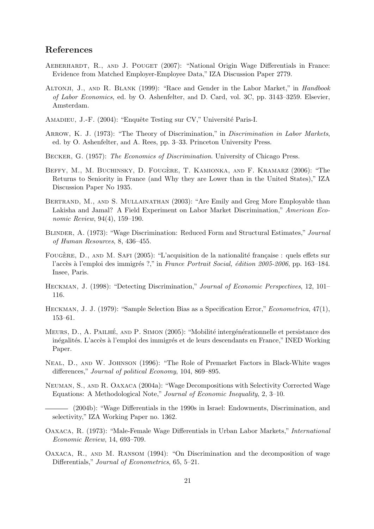# References

- AEBERHARDT, R., AND J. POUGET (2007): "National Origin Wage Differentials in France: Evidence from Matched Employer-Employee Data," IZA Discussion Paper 2779.
- ALTONJI, J., AND R. BLANK (1999): "Race and Gender in the Labor Market," in *Handbook* of Labor Economics, ed. by O. Ashenfelter, and D. Card, vol. 3C, pp. 3143–3259. Elsevier, Amsterdam.
- AMADIEU, J.-F. (2004): "Enquête Testing sur CV," Université Paris-I.
- ARROW, K. J. (1973): "The Theory of Discrimination," in *Discrimination in Labor Markets*, ed. by O. Ashenfelter, and A. Rees, pp. 3–33. Princeton University Press.
- Becker, G. (1957): The Economics of Discrimination. University of Chicago Press.
- BEFFY, M., M. BUCHINSKY, D. FOUGÈRE, T. KAMIONKA, AND F. KRAMARZ (2006): "The Returns to Seniority in France (and Why they are Lower than in the United States)," IZA Discussion Paper No 1935.
- BERTRAND, M., AND S. MULLAINATHAN (2003): "Are Emily and Greg More Employable than Lakisha and Jamal? A Field Experiment on Labor Market Discrimination," American Economic Review, 94(4), 159–190.
- Blinder, A. (1973): "Wage Discrimination: Reduced Form and Structural Estimates," Journal of Human Resources, 8, 436–455.
- FOUGÈRE, D., AND M. SAFI (2005): "L'acquisition de la nationalité française : quels effets sur l'accès à l'emploi des immigrés ?," in France Portrait Social, édition 2005-2006, pp. 163-184. Insee, Paris.
- Heckman, J. (1998): "Detecting Discrimination," Journal of Economic Perspectives, 12, 101– 116.
- Heckman, J. J. (1979): "Sample Selection Bias as a Specification Error," Econometrica, 47(1), 153–61.
- MEURS, D., A. PAILHÉ, AND P. SIMON (2005): "Mobilité intergénérationnelle et persistance des inégalités. L'accès à l'emploi des immigrés et de leurs descendants en France," INED Working Paper.
- Neal, D., and W. Johnson (1996): "The Role of Premarket Factors in Black-White wages differences," Journal of political Economy, 104, 869–895.
- Neuman, S., and R. Oaxaca (2004a): "Wage Decompositions with Selectivity Corrected Wage Equations: A Methodological Note," Journal of Economic Inequality, 2, 3–10.

(2004b): "Wage Differentials in the 1990s in Israel: Endowments, Discrimination, and selectivity," IZA Working Paper no. 1362.

- Oaxaca, R. (1973): "Male-Female Wage Differentials in Urban Labor Markets," International Economic Review, 14, 693–709.
- Oaxaca, R., and M. Ransom (1994): "On Discrimination and the decomposition of wage Differentials," *Journal of Econometrics*, 65, 5–21.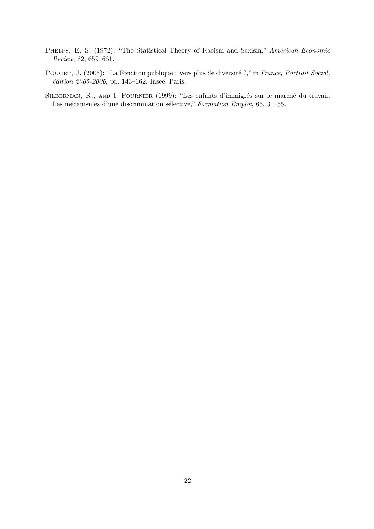- PHELPS, E. S. (1972): "The Statistical Theory of Racism and Sexism," American Economic Review, 62, 659–661.
- POUGET, J. (2005): "La Fonction publique : vers plus de diversité ?," in France, Portrait Social,  $édition 2005-2006$ , pp. 143-162. Insee, Paris.
- SILBERMAN, R., AND I. FOURNIER (1999): "Les enfants d'immigrés sur le marché du travail, Les mécanismes d'une discrimination sélective," Formation Emploi, 65, 31–55.